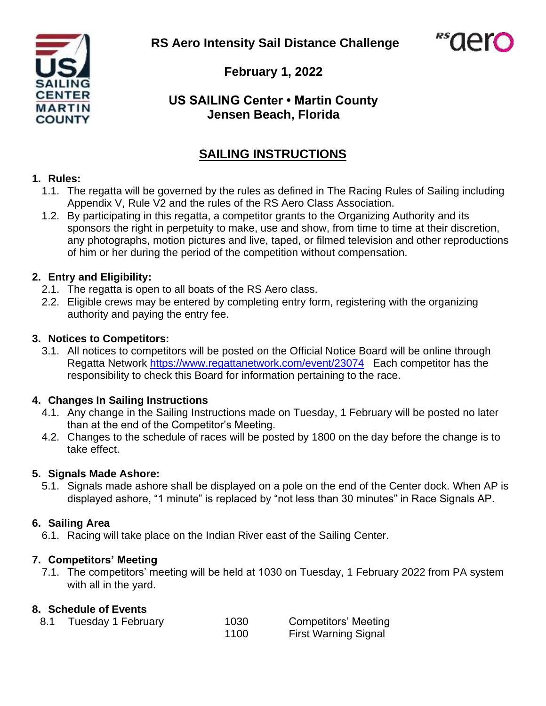**RS Aero Intensity Sail Distance Challenge**





**February 1, 2022**

# **US SAILING Center • Martin County Jensen Beach, Florida**

# **SAILING INSTRUCTIONS**

#### **1. Rules:**

- 1.1. The regatta will be governed by the rules as defined in The Racing Rules of Sailing including Appendix V, Rule V2 and the rules of the RS Aero Class Association.
- 1.2. By participating in this regatta, a competitor grants to the Organizing Authority and its sponsors the right in perpetuity to make, use and show, from time to time at their discretion, any photographs, motion pictures and live, taped, or filmed television and other reproductions of him or her during the period of the competition without compensation.

# **2. Entry and Eligibility:**

- 2.1. The regatta is open to all boats of the RS Aero class.
- 2.2. Eligible crews may be entered by completing entry form, registering with the organizing authority and paying the entry fee.

# **3. Notices to Competitors:**

3.1. All notices to competitors will be posted on the Official Notice Board will be online through Regatta Network <https://www.regattanetwork.com/event/23074> Each competitor has the responsibility to check this Board for information pertaining to the race.

# **4. Changes In Sailing Instructions**

- 4.1. Any change in the Sailing Instructions made on Tuesday, 1 February will be posted no later than at the end of the Competitor's Meeting.
- 4.2. Changes to the schedule of races will be posted by 1800 on the day before the change is to take effect.

# **5. Signals Made Ashore:**

5.1. Signals made ashore shall be displayed on a pole on the end of the Center dock. When AP is displayed ashore, "1 minute" is replaced by "not less than 30 minutes" in Race Signals AP.

# **6. Sailing Area**

6.1. Racing will take place on the Indian River east of the Sailing Center.

# **7. Competitors' Meeting**

7.1. The competitors' meeting will be held at 1030 on Tuesday, 1 February 2022 from PA system with all in the yard.

# **8. Schedule of Events**

| Tuesday 1 February | 1030 | Competitors' Meeting        |
|--------------------|------|-----------------------------|
|                    | 1100 | <b>First Warning Signal</b> |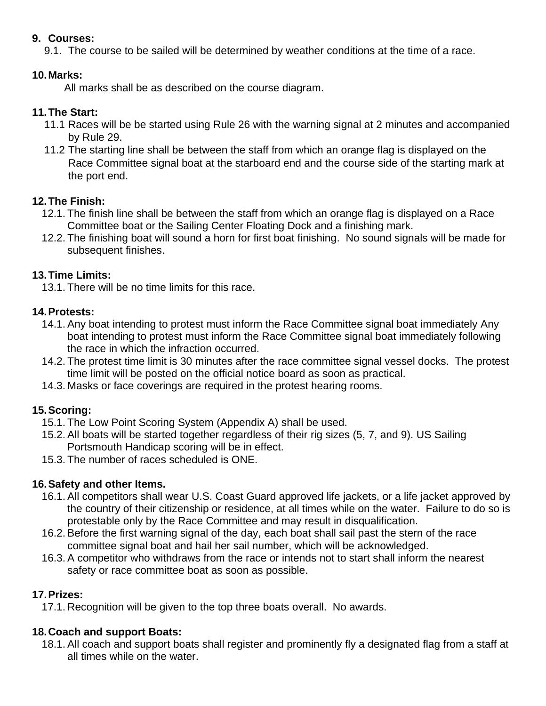#### **9. Courses:**

9.1. The course to be sailed will be determined by weather conditions at the time of a race.

#### **10.Marks:**

All marks shall be as described on the course diagram.

# **11.The Start:**

- 11.1 Races will be be started using Rule 26 with the warning signal at 2 minutes and accompanied by Rule 29.
- 11.2 The starting line shall be between the staff from which an orange flag is displayed on the Race Committee signal boat at the starboard end and the course side of the starting mark at the port end.

# **12.The Finish:**

- 12.1. The finish line shall be between the staff from which an orange flag is displayed on a Race Committee boat or the Sailing Center Floating Dock and a finishing mark.
- 12.2. The finishing boat will sound a horn for first boat finishing. No sound signals will be made for subsequent finishes.

# **13.Time Limits:**

13.1. There will be no time limits for this race.

# **14.Protests:**

- 14.1. Any boat intending to protest must inform the Race Committee signal boat immediately Any boat intending to protest must inform the Race Committee signal boat immediately following the race in which the infraction occurred.
- 14.2. The protest time limit is 30 minutes after the race committee signal vessel docks. The protest time limit will be posted on the official notice board as soon as practical.
- 14.3. Masks or face coverings are required in the protest hearing rooms.

# **15.Scoring:**

- 15.1. The Low Point Scoring System (Appendix A) shall be used.
- 15.2. All boats will be started together regardless of their rig sizes (5, 7, and 9). US Sailing Portsmouth Handicap scoring will be in effect.
- 15.3. The number of races scheduled is ONE.

# **16.Safety and other Items.**

- 16.1. All competitors shall wear U.S. Coast Guard approved life jackets, or a life jacket approved by the country of their citizenship or residence, at all times while on the water. Failure to do so is protestable only by the Race Committee and may result in disqualification.
- 16.2. Before the first warning signal of the day, each boat shall sail past the stern of the race committee signal boat and hail her sail number, which will be acknowledged.
- 16.3. A competitor who withdraws from the race or intends not to start shall inform the nearest safety or race committee boat as soon as possible.

# **17.Prizes:**

17.1. Recognition will be given to the top three boats overall. No awards.

# **18.Coach and support Boats:**

18.1. All coach and support boats shall register and prominently fly a designated flag from a staff at all times while on the water.